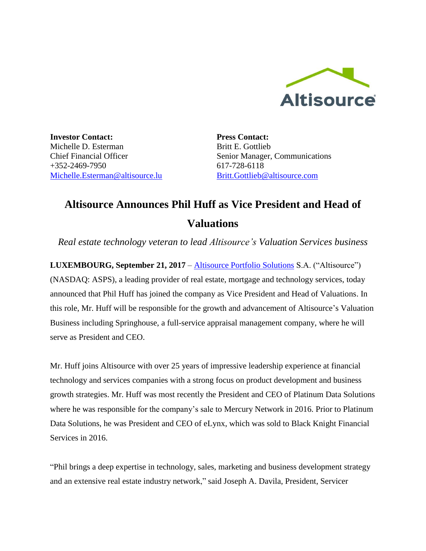

**Investor Contact:** Michelle D. Esterman Chief Financial Officer +352-2469-7950 [Michelle.Esterman@altisource.lu](mailto:Michelle.Esterman@altisource.lu) **Press Contact:** Britt E. Gottlieb Senior Manager, Communications 617-728-6118 [Britt.Gottlieb@altisource.com](mailto:Britt.Gottlieb@altisource.com)

## **Altisource Announces Phil Huff as Vice President and Head of Valuations**

*Real estate technology veteran to lead Altisource's Valuation Services business* 

**LUXEMBOURG, September 21, 2017** – [Altisource Portfolio Solutions](http://www.altisource.com/?utm_campaign=PhilHuff&utm_source=PR&utm_medium=PR&utm_content=first) S.A. ("Altisource") (NASDAQ: ASPS), a leading provider of real estate, mortgage and technology services, today announced that Phil Huff has joined the company as Vice President and Head of Valuations. In this role, Mr. Huff will be responsible for the growth and advancement of Altisource's Valuation Business including Springhouse, a full-service appraisal management company, where he will serve as President and CEO.

Mr. Huff joins Altisource with over 25 years of impressive leadership experience at financial technology and services companies with a strong focus on product development and business growth strategies. Mr. Huff was most recently the President and CEO of Platinum Data Solutions where he was responsible for the company's sale to Mercury Network in 2016. Prior to Platinum Data Solutions, he was President and CEO of eLynx, which was sold to Black Knight Financial Services in 2016.

"Phil brings a deep expertise in technology, sales, marketing and business development strategy and an extensive real estate industry network," said Joseph A. Davila, President, Servicer